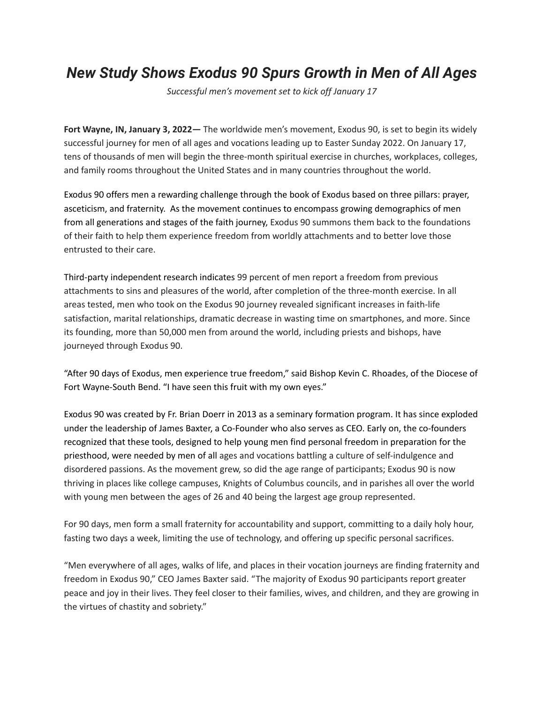## *New Study Shows Exodus 90 Spurs Growth in Men of All Ages*

*Successful men's movement set to kick off January 17*

**Fort Wayne, IN, January 3, 2022—** The worldwide men's movement, Exodus 90, is set to begin its widely successful journey for men of all ages and vocations leading up to Easter Sunday 2022. On January 17, tens of thousands of men will begin the three-month spiritual exercise in churches, workplaces, colleges, and family rooms throughout the United States and in many countries throughout the world.

Exodus 90 offers men a rewarding challenge through the book of Exodus based on three pillars: prayer, asceticism, and fraternity. As the movement continues to encompass growing demographics of men from all generations and stages of the faith journey, Exodus 90 summons them back to the foundations of their faith to help them experience freedom from worldly attachments and to better love those entrusted to their care.

Third-party independent research indicates 99 percent of men report a freedom from previous attachments to sins and pleasures of the world, after completion of the three-month exercise. In all areas tested, men who took on the Exodus 90 journey revealed significant increases in faith-life satisfaction, marital relationships, dramatic decrease in wasting time on smartphones, and more. Since its founding, more than 50,000 men from around the world, including priests and bishops, have journeyed through Exodus 90.

"After 90 days of Exodus, men experience true freedom," said Bishop Kevin C. Rhoades, of the Diocese of Fort Wayne-South Bend. "I have seen this fruit with my own eyes."

Exodus 90 was created by Fr. Brian Doerr in 2013 as a seminary formation program. It has since exploded under the leadership of James Baxter, a Co-Founder who also serves as CEO. Early on, the co-founders recognized that these tools, designed to help young men find personal freedom in preparation for the priesthood, were needed by men of all ages and vocations battling a culture of self-indulgence and disordered passions. As the movement grew, so did the age range of participants; Exodus 90 is now thriving in places like college campuses, Knights of Columbus councils, and in parishes all over the world with young men between the ages of 26 and 40 being the largest age group represented.

For 90 days, men form a small fraternity for accountability and support, committing to a daily holy hour, fasting two days a week, limiting the use of technology, and offering up specific personal sacrifices.

"Men everywhere of all ages, walks of life, and places in their vocation journeys are finding fraternity and freedom in Exodus 90," CEO James Baxter said. "The majority of Exodus 90 participants report greater peace and joy in their lives. They feel closer to their families, wives, and children, and they are growing in the virtues of chastity and sobriety."